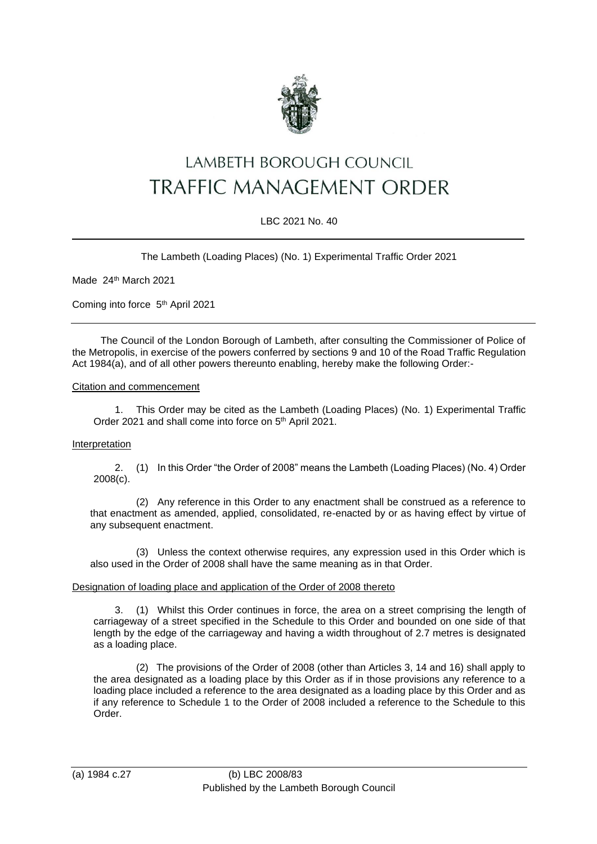

# LAMBETH BOROUGH COUNCIL TRAFFIC MANAGEMENT ORDER

# LBC 2021 No. 40

The Lambeth (Loading Places) (No. 1) Experimental Traffic Order 2021

Made 24th March 2021

Coming into force 5th April 2021

The Council of the London Borough of Lambeth, after consulting the Commissioner of Police of the Metropolis, in exercise of the powers conferred by sections 9 and 10 of the Road Traffic Regulation Act 1984(a), and of all other powers thereunto enabling, hereby make the following Order:-

### Citation and commencement

1. This Order may be cited as the Lambeth (Loading Places) (No. 1) Experimental Traffic Order 2021 and shall come into force on 5<sup>th</sup> April 2021.

# Interpretation

2. (1) In this Order "the Order of 2008" means the Lambeth (Loading Places) (No. 4) Order 2008(c).

(2) Any reference in this Order to any enactment shall be construed as a reference to that enactment as amended, applied, consolidated, re-enacted by or as having effect by virtue of any subsequent enactment.

(3) Unless the context otherwise requires, any expression used in this Order which is also used in the Order of 2008 shall have the same meaning as in that Order.

#### Designation of loading place and application of the Order of 2008 thereto

3. (1) Whilst this Order continues in force, the area on a street comprising the length of carriageway of a street specified in the Schedule to this Order and bounded on one side of that length by the edge of the carriageway and having a width throughout of 2.7 metres is designated as a loading place.

(2) The provisions of the Order of 2008 (other than Articles 3, 14 and 16) shall apply to the area designated as a loading place by this Order as if in those provisions any reference to a loading place included a reference to the area designated as a loading place by this Order and as if any reference to Schedule 1 to the Order of 2008 included a reference to the Schedule to this Order.